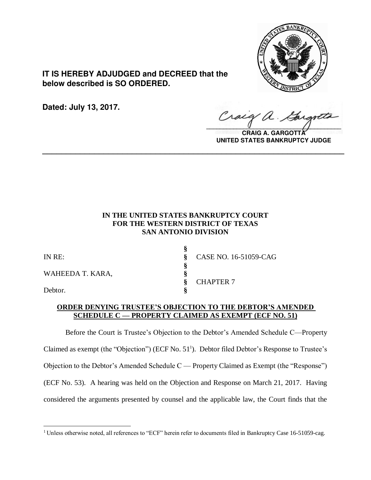

**IT IS HEREBY ADJUDGED and DECREED that the below described is SO ORDERED.**

**Dated: July 13, 2017.**

Craig a.

**CRAIG A. GARGOTT UNITED STATES BANKRUPTCY JUDGE**

# **IN THE UNITED STATES BANKRUPTCY COURT FOR THE WESTERN DISTRICT OF TEXAS SAN ANTONIO DIVISION**

**\_\_\_\_\_\_\_\_\_\_\_\_\_\_\_\_\_\_\_\_\_\_\_\_\_\_\_\_\_\_\_\_\_\_\_\_\_\_\_\_\_\_\_\_\_\_\_\_\_\_\_\_\_\_\_\_\_\_\_\_\_\_\_\_**

| IN RE:           | CASE NO. 16-51059-CAG |
|------------------|-----------------------|
| WAHEEDA T. KARA, |                       |
| Debtor.          | <b>CHAPTER 7</b>      |

# **ORDER DENYING TRUSTEE'S OBJECTION TO THE DEBTOR'S AMENDED SCHEDULE C — PROPERTY CLAIMED AS EXEMPT (ECF NO. 51)**

Before the Court is Trustee's Objection to the Debtor's Amended Schedule C—Property Claimed as exempt (the "Objection") (ECF No. 51<sup>1</sup>). Debtor filed Debtor's Response to Trustee's Objection to the Debtor's Amended Schedule C — Property Claimed as Exempt (the "Response") (ECF No. 53). A hearing was held on the Objection and Response on March 21, 2017. Having considered the arguments presented by counsel and the applicable law, the Court finds that the

 $\overline{a}$ <sup>1</sup> Unless otherwise noted, all references to "ECF" herein refer to documents filed in Bankruptcy Case 16-51059-cag.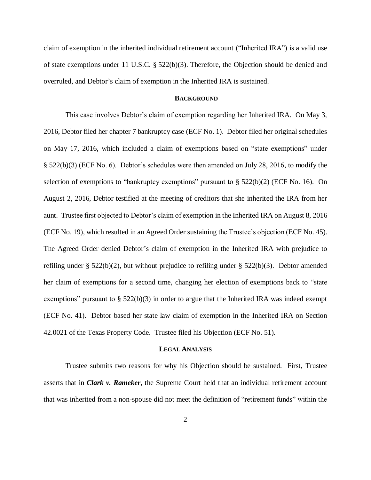claim of exemption in the inherited individual retirement account ("Inherited IRA") is a valid use of state exemptions under 11 U.S.C. § 522(b)(3). Therefore, the Objection should be denied and overruled, and Debtor's claim of exemption in the Inherited IRA is sustained.

### **BACKGROUND**

This case involves Debtor's claim of exemption regarding her Inherited IRA. On May 3, 2016, Debtor filed her chapter 7 bankruptcy case (ECF No. 1). Debtor filed her original schedules on May 17, 2016, which included a claim of exemptions based on "state exemptions" under § 522(b)(3) (ECF No. 6). Debtor's schedules were then amended on July 28, 2016, to modify the selection of exemptions to "bankruptcy exemptions" pursuant to  $\S$  522(b)(2) (ECF No. 16). On August 2, 2016, Debtor testified at the meeting of creditors that she inherited the IRA from her aunt. Trustee first objected to Debtor's claim of exemption in the Inherited IRA on August 8, 2016 (ECF No. 19), which resulted in an Agreed Order sustaining the Trustee's objection (ECF No. 45). The Agreed Order denied Debtor's claim of exemption in the Inherited IRA with prejudice to refiling under § 522(b)(2), but without prejudice to refiling under § 522(b)(3). Debtor amended her claim of exemptions for a second time, changing her election of exemptions back to "state exemptions" pursuant to  $\S$  522(b)(3) in order to argue that the Inherited IRA was indeed exempt (ECF No. 41). Debtor based her state law claim of exemption in the Inherited IRA on Section 42.0021 of the Texas Property Code. Trustee filed his Objection (ECF No. 51).

# **LEGAL ANALYSIS**

Trustee submits two reasons for why his Objection should be sustained. First, Trustee asserts that in *Clark v. Rameker*, the Supreme Court held that an individual retirement account that was inherited from a non-spouse did not meet the definition of "retirement funds" within the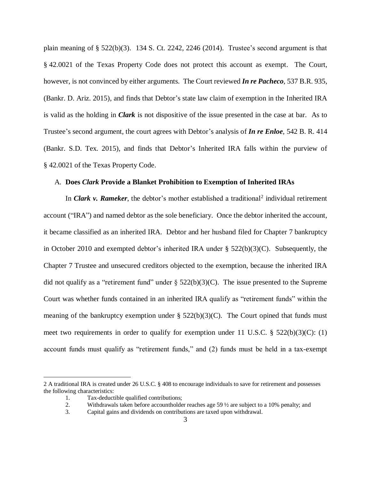plain meaning of  $\S$  522(b)(3). 134 S. Ct. 2242, 2246 (2014). Trustee's second argument is that § 42.0021 of the Texas Property Code does not protect this account as exempt. The Court, however, is not convinced by either arguments. The Court reviewed *In re Pacheco*, 537 B.R. 935, (Bankr. D. Ariz. 2015), and finds that Debtor's state law claim of exemption in the Inherited IRA is valid as the holding in *Clark* is not dispositive of the issue presented in the case at bar. As to Trustee's second argument, the court agrees with Debtor's analysis of *In re Enloe*, 542 B. R. 414 (Bankr. S.D. Tex. 2015), and finds that Debtor's Inherited IRA falls within the purview of § 42.0021 of the Texas Property Code.

#### A. **Does** *Clark* **Provide a Blanket Prohibition to Exemption of Inherited IRAs**

In *Clark v. Rameker*, the debtor's mother established a traditional<sup>2</sup> individual retirement account ("IRA") and named debtor as the sole beneficiary. Once the debtor inherited the account, it became classified as an inherited IRA. Debtor and her husband filed for Chapter 7 bankruptcy in October 2010 and exempted debtor's inherited IRA under § 522(b)(3)(C). Subsequently, the Chapter 7 Trustee and unsecured creditors objected to the exemption, because the inherited IRA did not qualify as a "retirement fund" under  $\S$  522(b)(3)(C). The issue presented to the Supreme Court was whether funds contained in an inherited IRA qualify as "retirement funds" within the meaning of the bankruptcy exemption under  $\S$  522(b)(3)(C). The Court opined that funds must meet two requirements in order to qualify for exemption under 11 U.S.C. § 522(b)(3)(C): (1) account funds must qualify as "retirement funds," and (2) funds must be held in a tax-exempt

 $\overline{a}$ 

<sup>2</sup> A traditional IRA is created under 26 U.S.C. § 408 to encourage individuals to save for retirement and possesses the following characteristics:

<sup>1.</sup> Tax-deductible qualified contributions;

<sup>2.</sup> Withdrawals taken before accountholder reaches age 59 ½ are subject to a 10% penalty; and

<sup>3.</sup> Capital gains and dividends on contributions are taxed upon withdrawal.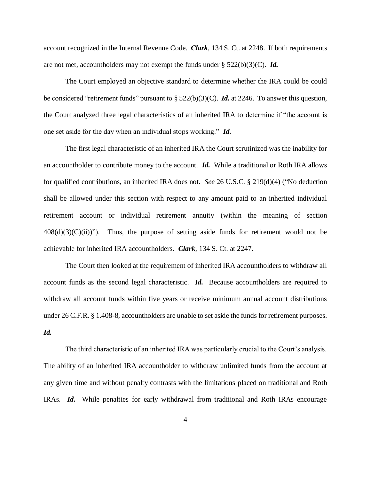account recognized in the Internal Revenue Code. *Clark*, 134 S. Ct. at 2248. If both requirements are not met, accountholders may not exempt the funds under § 522(b)(3)(C). *Id.* 

The Court employed an objective standard to determine whether the IRA could be could be considered "retirement funds" pursuant to § 522(b)(3)(C). *Id.* at 2246. To answer this question, the Court analyzed three legal characteristics of an inherited IRA to determine if "the account is one set aside for the day when an individual stops working." *Id.* 

The first legal characteristic of an inherited IRA the Court scrutinized was the inability for an accountholder to contribute money to the account. *Id.* While a traditional or Roth IRA allows for qualified contributions, an inherited IRA does not. *See* 26 U.S.C. § 219(d)(4) ("No deduction shall be allowed under this section with respect to any amount paid to an inherited individual retirement account or individual retirement annuity (within the meaning of section  $408(d)(3)(C)(ii)$ "). Thus, the purpose of setting aside funds for retirement would not be achievable for inherited IRA accountholders. *Clark*, 134 S. Ct. at 2247.

The Court then looked at the requirement of inherited IRA accountholders to withdraw all account funds as the second legal characteristic. *Id.* Because accountholders are required to withdraw all account funds within five years or receive minimum annual account distributions under 26 C.F.R. § 1.408-8, accountholders are unable to set aside the funds for retirement purposes. *Id.* 

The third characteristic of an inherited IRA was particularly crucial to the Court's analysis. The ability of an inherited IRA accountholder to withdraw unlimited funds from the account at any given time and without penalty contrasts with the limitations placed on traditional and Roth IRAs. *Id.* While penalties for early withdrawal from traditional and Roth IRAs encourage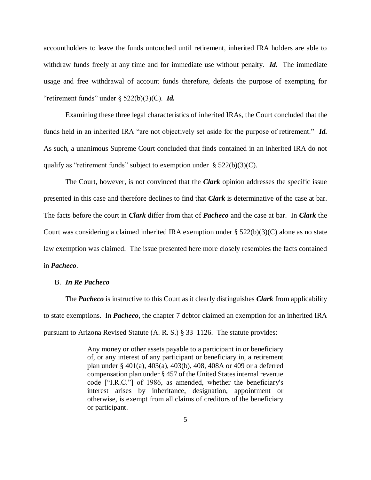accountholders to leave the funds untouched until retirement, inherited IRA holders are able to withdraw funds freely at any time and for immediate use without penalty. *Id.* The immediate usage and free withdrawal of account funds therefore, defeats the purpose of exempting for "retirement funds" under § 522(b)(3)(C). *Id.*

Examining these three legal characteristics of inherited IRAs, the Court concluded that the funds held in an inherited IRA "are not objectively set aside for the purpose of retirement." *Id.* As such, a unanimous Supreme Court concluded that finds contained in an inherited IRA do not qualify as "retirement funds" subject to exemption under  $\S$  522(b)(3)(C).

The Court, however, is not convinced that the *Clark* opinion addresses the specific issue presented in this case and therefore declines to find that *Clark* is determinative of the case at bar. The facts before the court in *Clark* differ from that of *Pacheco* and the case at bar. In *Clark* the Court was considering a claimed inherited IRA exemption under  $\S 522(b)(3)(C)$  alone as no state law exemption was claimed. The issue presented here more closely resembles the facts contained in *Pacheco*.

# B. *In Re Pacheco*

The *Pacheco* is instructive to this Court as it clearly distinguishes *Clark* from applicability to state exemptions. In *Pacheco*, the chapter 7 debtor claimed an exemption for an inherited IRA pursuant to Arizona Revised Statute (A. R. S.) § 33–1126. The statute provides:

> Any money or other assets payable to a participant in or beneficiary of, or any interest of any participant or beneficiary in, a retirement plan under § 401(a), 403(a), 403(b), 408, 408A or 409 or a deferred compensation plan under § 457 of the United States internal revenue code ["I.R.C."] of 1986, as amended, whether the beneficiary's interest arises by inheritance, designation, appointment or otherwise, is exempt from all claims of creditors of the beneficiary or participant.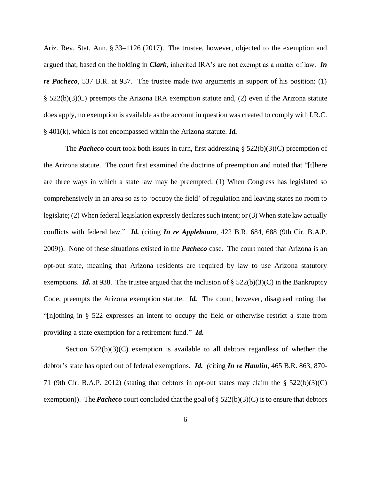Ariz. Rev. Stat. Ann. § 33–1126 (2017). The trustee, however, objected to the exemption and argued that, based on the holding in *Clark*, inherited IRA's are not exempt as a matter of law. *In re Pacheco*, 537 B.R. at 937. The trustee made two arguments in support of his position: (1) § 522(b)(3)(C) preempts the Arizona IRA exemption statute and, (2) even if the Arizona statute does apply, no exemption is available as the account in question was created to comply with I.R.C. § 401(k), which is not encompassed within the Arizona statute. *Id.*

The **Pacheco** court took both issues in turn, first addressing  $\S$  522(b)(3)(C) preemption of the Arizona statute. The court first examined the doctrine of preemption and noted that "[t]here are three ways in which a state law may be preempted: (1) When Congress has legislated so comprehensively in an area so as to 'occupy the field' of regulation and leaving states no room to legislate; (2) When federal legislation expressly declares such intent; or (3) When state law actually conflicts with federal law." *Id.* (citing *In re Applebaum*, 422 B.R. 684, 688 (9th Cir. B.A.P. 2009)). None of these situations existed in the *Pacheco* case. The court noted that Arizona is an opt-out state, meaning that Arizona residents are required by law to use Arizona statutory exemptions. *Id.* at 938. The trustee argued that the inclusion of  $\S$  522(b)(3)(C) in the Bankruptcy Code, preempts the Arizona exemption statute. *Id.* The court, however, disagreed noting that "[n]othing in § 522 expresses an intent to occupy the field or otherwise restrict a state from providing a state exemption for a retirement fund." *Id.*

Section  $522(b)(3)(C)$  exemption is available to all debtors regardless of whether the debtor's state has opted out of federal exemptions. *Id. (*citing *In re Hamlin*, 465 B.R. 863, 870- 71 (9th Cir. B.A.P. 2012) (stating that debtors in opt-out states may claim the  $\S$  522(b)(3)(C) exemption)). The **Pacheco** court concluded that the goal of § 522(b)(3)(C) is to ensure that debtors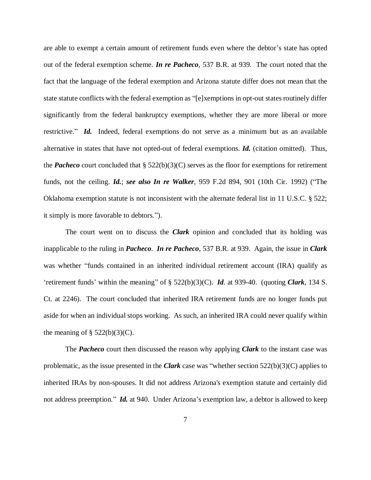are able to exempt a certain amount of retirement funds even where the debtor's state has opted out of the federal exemption scheme. *In re Pacheco*, 537 B.R. at 939. The court noted that the fact that the language of the federal exemption and Arizona statute differ does not mean that the state statute conflicts with the federal exemption as "[e]xemptions in opt-out states routinely differ significantly from the federal bankruptcy exemptions, whether they are more liberal or more restrictive." *Id.* Indeed, federal exemptions do not serve as a minimum but as an available alternative in states that have not opted-out of federal exemptions. *Id.* (citation omitted). Thus, the **Pacheco** court concluded that  $\S 522(b)(3)(C)$  serves as the floor for exemptions for retirement funds, not the ceiling. *Id.*; *see also In re Walker*, 959 F.2d 894, 901 (10th Cir. 1992) ("The Oklahoma exemption statute is not inconsistent with the alternate federal list in 11 U.S.C. § 522; it simply is more favorable to debtors.").

The court went on to discuss the *Clark* opinion and concluded that its holding was inapplicable to the ruling in *Pacheco*. *In re Pacheco*, 537 B.R. at 939. Again, the issue in *Clark* was whether "funds contained in an inherited individual retirement account (IRA) qualify as 'retirement funds' within the meaning" of § 522(b)(3)(C). *Id.* at 939-40. (quoting *Clark*, 134 S. Ct. at 2246). The court concluded that inherited IRA retirement funds are no longer funds put aside for when an individual stops working. As such, an inherited IRA could never qualify within the meaning of  $\S$  522(b)(3)(C).

The *Pacheco* court then discussed the reason why applying *Clark* to the instant case was problematic, as the issue presented in the *Clark* case was "whether section 522(b)(3)(C) applies to inherited IRAs by non-spouses. It did not address Arizona's exemption statute and certainly did not address preemption." *Id.* at 940. Under Arizona's exemption law, a debtor is allowed to keep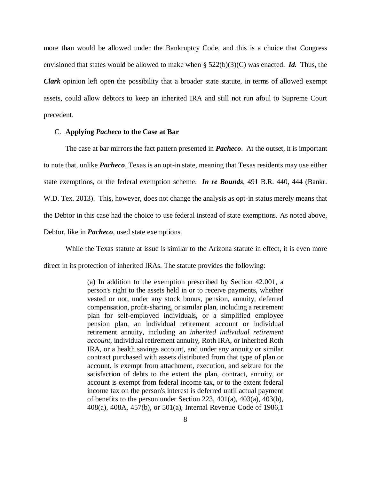more than would be allowed under the Bankruptcy Code, and this is a choice that Congress envisioned that states would be allowed to make when  $\S$  522(b)(3)(C) was enacted. *Id.* Thus, the *Clark* opinion left open the possibility that a broader state statute, in terms of allowed exempt assets, could allow debtors to keep an inherited IRA and still not run afoul to Supreme Court precedent.

#### C. **Applying** *Pacheco* **to the Case at Bar**

The case at bar mirrors the fact pattern presented in *Pacheco*. At the outset, it is important to note that, unlike *Pacheco*, Texas is an opt-in state, meaning that Texas residents may use either state exemptions, or the federal exemption scheme. *In re Bounds*, 491 B.R. 440, 444 (Bankr. W.D. Tex. 2013). This, however, does not change the analysis as opt-in status merely means that the Debtor in this case had the choice to use federal instead of state exemptions. As noted above, Debtor, like in *Pacheco*, used state exemptions.

While the Texas statute at issue is similar to the Arizona statute in effect, it is even more direct in its protection of inherited IRAs. The statute provides the following:

> (a) In addition to the exemption prescribed by Section 42.001, a person's right to the assets held in or to receive payments, whether vested or not, under any stock bonus, pension, annuity, deferred compensation, profit-sharing, or similar plan, including a retirement plan for self-employed individuals, or a simplified employee pension plan, an individual retirement account or individual retirement annuity, including an *inherited individual retirement account*, individual retirement annuity, Roth IRA, or inherited Roth IRA, or a health savings account, and under any annuity or similar contract purchased with assets distributed from that type of plan or account, is exempt from attachment, execution, and seizure for the satisfaction of debts to the extent the plan, contract, annuity, or account is exempt from federal income tax, or to the extent federal income tax on the person's interest is deferred until actual payment of benefits to the person under Section 223, 401(a), 403(a), 403(b), 408(a), 408A, 457(b), or 501(a), Internal Revenue Code of 1986,1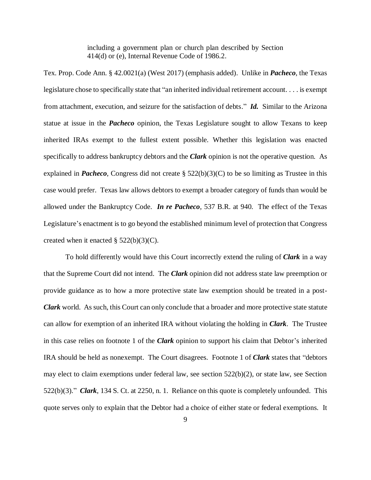including a government plan or church plan described by Section 414(d) or (e), Internal Revenue Code of 1986.2.

Tex. Prop. Code Ann. § 42.0021(a) (West 2017) (emphasis added). Unlike in *Pacheco*, the Texas legislature chose to specifically state that "an inherited individual retirement account. . . . is exempt from attachment, execution, and seizure for the satisfaction of debts." *Id.* Similar to the Arizona statue at issue in the *Pacheco* opinion, the Texas Legislature sought to allow Texans to keep inherited IRAs exempt to the fullest extent possible. Whether this legislation was enacted specifically to address bankruptcy debtors and the *Clark* opinion is not the operative question. As explained in *Pacheco*, Congress did not create § 522(b)(3)(C) to be so limiting as Trustee in this case would prefer. Texas law allows debtors to exempt a broader category of funds than would be allowed under the Bankruptcy Code. *In re Pacheco*, 537 B.R. at 940. The effect of the Texas Legislature's enactment is to go beyond the established minimum level of protection that Congress created when it enacted  $\S$  522(b)(3)(C).

To hold differently would have this Court incorrectly extend the ruling of *Clark* in a way that the Supreme Court did not intend. The *Clark* opinion did not address state law preemption or provide guidance as to how a more protective state law exemption should be treated in a post-*Clark* world. As such, this Court can only conclude that a broader and more protective state statute can allow for exemption of an inherited IRA without violating the holding in *Clark*. The Trustee in this case relies on footnote 1 of the *Clark* opinion to support his claim that Debtor's inherited IRA should be held as nonexempt. The Court disagrees. Footnote 1 of *Clark* states that "debtors may elect to claim exemptions under federal law, see section 522(b)(2), or state law, see Section 522(b)(3)." *Clark*, 134 S. Ct. at 2250, n. 1. Reliance on this quote is completely unfounded. This quote serves only to explain that the Debtor had a choice of either state or federal exemptions. It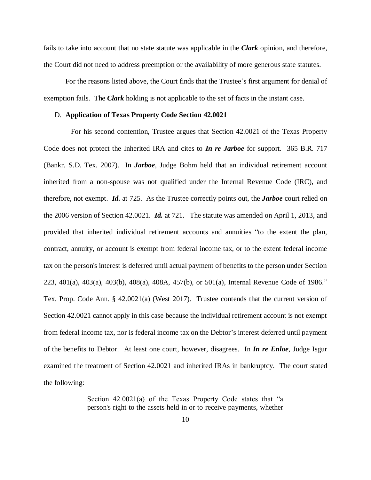fails to take into account that no state statute was applicable in the *Clark* opinion, and therefore, the Court did not need to address preemption or the availability of more generous state statutes.

For the reasons listed above, the Court finds that the Trustee's first argument for denial of exemption fails. The *Clark* holding is not applicable to the set of facts in the instant case.

#### D. **Application of Texas Property Code Section 42.0021**

 For his second contention, Trustee argues that Section 42.0021 of the Texas Property Code does not protect the Inherited IRA and cites to *In re Jarboe* for support. 365 B.R. 717 (Bankr. S.D. Tex. 2007). In *Jarboe*, Judge Bohm held that an individual retirement account inherited from a non-spouse was not qualified under the Internal Revenue Code (IRC), and therefore, not exempt. *Id.* at 725. As the Trustee correctly points out, the *Jarboe* court relied on the 2006 version of Section 42.0021. *Id.* at 721. The statute was amended on April 1, 2013, and provided that inherited individual retirement accounts and annuities "to the extent the plan, contract, annuity, or account is exempt from federal income tax, or to the extent federal income tax on the person's interest is deferred until actual payment of benefits to the person under Section 223, 401(a), 403(a), 403(b), 408(a), 408A, 457(b), or 501(a), Internal Revenue Code of 1986." Tex. Prop. Code Ann. § 42.0021(a) (West 2017). Trustee contends that the current version of Section 42.0021 cannot apply in this case because the individual retirement account is not exempt from federal income tax, nor is federal income tax on the Debtor's interest deferred until payment of the benefits to Debtor. At least one court, however, disagrees. In *In re Enloe*, Judge Isgur examined the treatment of Section 42.0021 and inherited IRAs in bankruptcy. The court stated the following:

> Section 42.0021(a) of the Texas Property Code states that "a person's right to the assets held in or to receive payments, whether